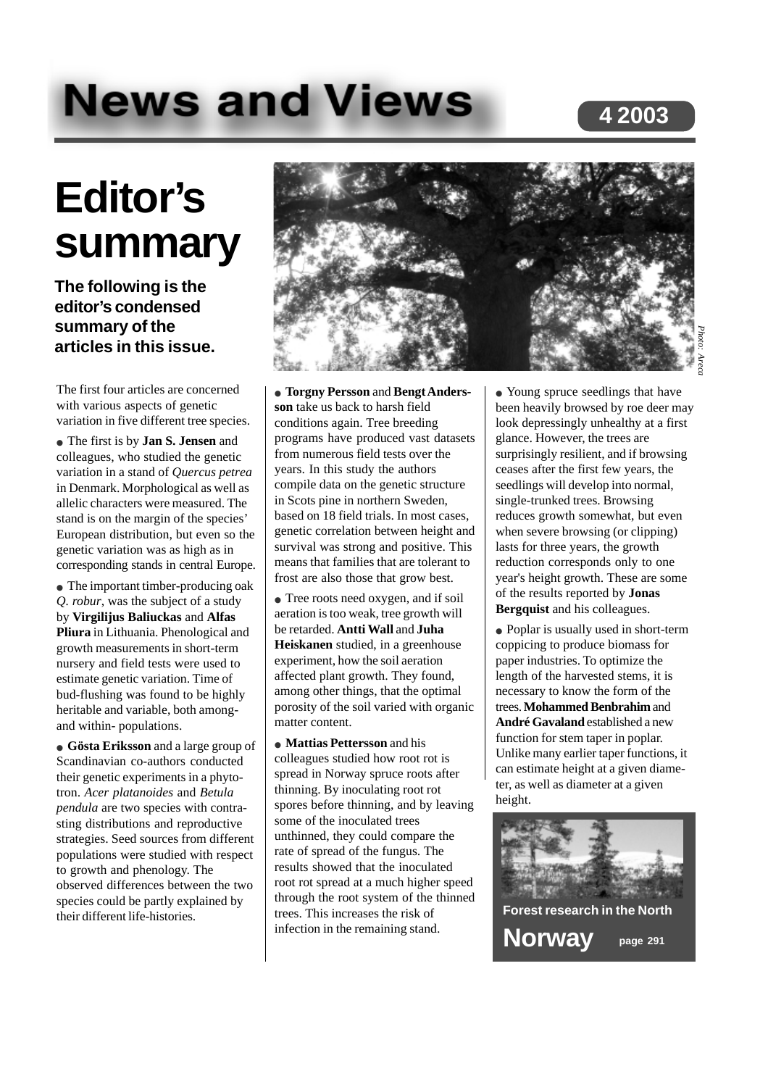# **News and Views**

# **4 2003**

# **Editor's summary**

**The following is the editor's condensed summary of the articles in this issue.**

The first four articles are concerned with various aspects of genetic variation in five different tree species.

● The first is by **Jan S. Jensen** and colleagues, who studied the genetic variation in a stand of *Quercus petrea* in Denmark. Morphological as well as allelic characters were measured. The stand is on the margin of the species' European distribution, but even so the genetic variation was as high as in corresponding stands in central Europe.

• The important timber-producing oak *Q. robur*, was the subject of a study by **Virgilijus Baliuckas** and **Alfas Pliura** in Lithuania. Phenological and growth measurements in short-term nursery and field tests were used to estimate genetic variation. Time of bud-flushing was found to be highly heritable and variable, both amongand within- populations.

● **Gösta Eriksson** and a large group of Scandinavian co-authors conducted their genetic experiments in a phytotron. *Acer platanoides* and *Betula pendula* are two species with contrasting distributions and reproductive strategies. Seed sources from different populations were studied with respect to growth and phenology. The observed differences between the two species could be partly explained by their different life-histories.



● **Torgny Persson** and **Bengt Andersson** take us back to harsh field conditions again. Tree breeding programs have produced vast datasets from numerous field tests over the years. In this study the authors compile data on the genetic structure in Scots pine in northern Sweden, based on 18 field trials. In most cases, genetic correlation between height and survival was strong and positive. This means that families that are tolerant to frost are also those that grow best.

● Tree roots need oxygen, and if soil aeration is too weak, tree growth will be retarded. **Antti Wall** and **Juha Heiskanen** studied, in a greenhouse experiment, how the soil aeration affected plant growth. They found, among other things, that the optimal porosity of the soil varied with organic matter content.

● **Mattias Pettersson** and his colleagues studied how root rot is spread in Norway spruce roots after thinning. By inoculating root rot spores before thinning, and by leaving some of the inoculated trees unthinned, they could compare the rate of spread of the fungus. The results showed that the inoculated root rot spread at a much higher speed through the root system of the thinned trees. This increases the risk of infection in the remaining stand.

• Young spruce seedlings that have been heavily browsed by roe deer may look depressingly unhealthy at a first glance. However, the trees are surprisingly resilient, and if browsing ceases after the first few years, the seedlings will develop into normal, single-trunked trees. Browsing reduces growth somewhat, but even when severe browsing (or clipping) lasts for three years, the growth reduction corresponds only to one year's height growth. These are some of the results reported by **Jonas Bergquist** and his colleagues.

● Poplar is usually used in short-term coppicing to produce biomass for paper industries. To optimize the length of the harvested stems, it is necessary to know the form of the trees. **Mohammed Benbrahim** and **André Gavaland** established a new function for stem taper in poplar. Unlike many earlier taper functions, it can estimate height at a given diameter, as well as diameter at a given height.

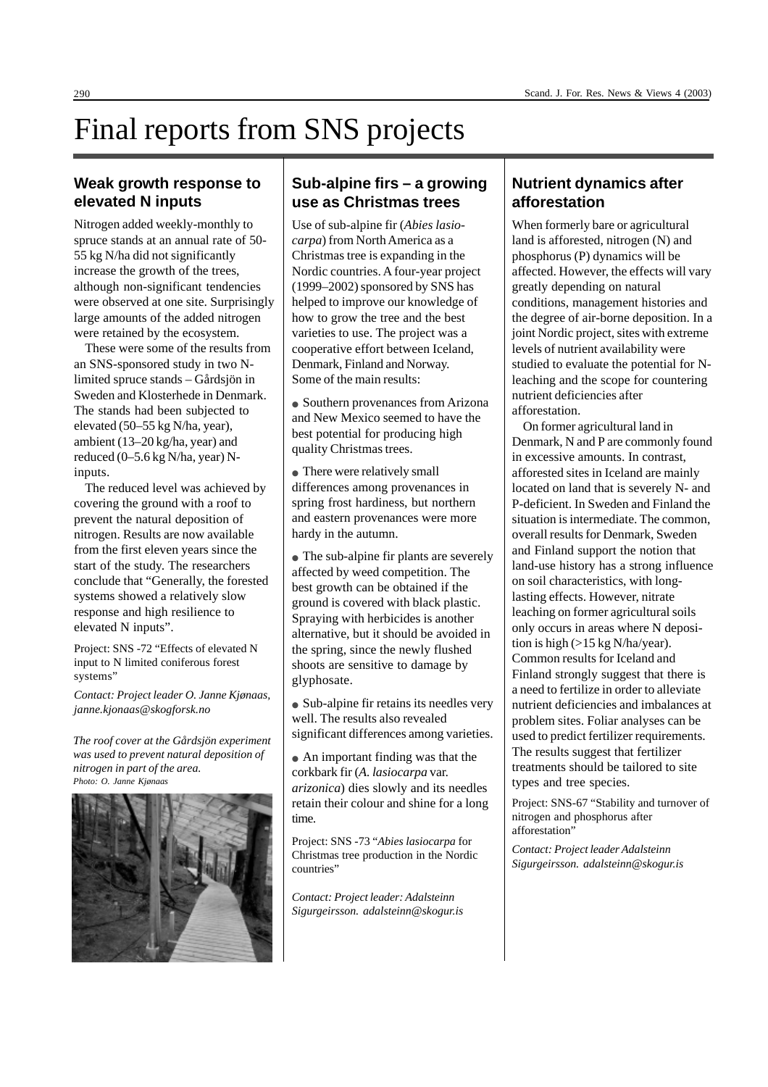# Final reports from SNS projects

#### **Weak growth response to elevated N inputs**

Nitrogen added weekly-monthly to spruce stands at an annual rate of 50- 55 kg N/ha did not significantly increase the growth of the trees, although non-significant tendencies were observed at one site. Surprisingly large amounts of the added nitrogen were retained by the ecosystem.

These were some of the results from an SNS-sponsored study in two Nlimited spruce stands – Gårdsjön in Sweden and Klosterhede in Denmark. The stands had been subjected to elevated (50–55 kg N/ha, year), ambient (13–20 kg/ha, year) and reduced (0–5.6 kg N/ha, year) Ninputs.

The reduced level was achieved by covering the ground with a roof to prevent the natural deposition of nitrogen. Results are now available from the first eleven years since the start of the study. The researchers conclude that "Generally, the forested systems showed a relatively slow response and high resilience to elevated N inputs".

Project: SNS -72 "Effects of elevated N input to N limited coniferous forest systems"

*Contact: Project leader O. Janne Kjønaas, janne.kjonaas@skogforsk.no*

*The roof cover at the Gårdsjön experiment was used to prevent natural deposition of nitrogen in part of the area. Photo: O. Janne Kjønaas*



#### **Sub-alpine firs – a growing use as Christmas trees**

Use of sub-alpine fir (*Abies lasiocarpa*) from North America as a Christmas tree is expanding in the Nordic countries. A four-year project (1999–2002) sponsored by SNS has helped to improve our knowledge of how to grow the tree and the best varieties to use. The project was a cooperative effort between Iceland, Denmark, Finland and Norway. Some of the main results:

• Southern provenances from Arizona and New Mexico seemed to have the best potential for producing high quality Christmas trees.

• There were relatively small differences among provenances in spring frost hardiness, but northern and eastern provenances were more hardy in the autumn.

• The sub-alpine fir plants are severely affected by weed competition. The best growth can be obtained if the ground is covered with black plastic. Spraying with herbicides is another alternative, but it should be avoided in the spring, since the newly flushed shoots are sensitive to damage by glyphosate.

• Sub-alpine fir retains its needles very well. The results also revealed significant differences among varieties.

• An important finding was that the corkbark fir (*A. lasiocarpa* var. *arizonica*) dies slowly and its needles retain their colour and shine for a long time.

Project: SNS -73 "*Abies lasiocarpa* for Christmas tree production in the Nordic countries"

*Contact: Project leader: Adalsteinn Sigurgeirsson. adalsteinn@skogur.is*

#### **Nutrient dynamics after afforestation**

When formerly bare or agricultural land is afforested, nitrogen (N) and phosphorus (P) dynamics will be affected. However, the effects will vary greatly depending on natural conditions, management histories and the degree of air-borne deposition. In a joint Nordic project, sites with extreme levels of nutrient availability were studied to evaluate the potential for Nleaching and the scope for countering nutrient deficiencies after afforestation.

On former agricultural land in Denmark, N and P are commonly found in excessive amounts. In contrast, afforested sites in Iceland are mainly located on land that is severely N- and P-deficient. In Sweden and Finland the situation is intermediate. The common, overall results for Denmark, Sweden and Finland support the notion that land-use history has a strong influence on soil characteristics, with longlasting effects. However, nitrate leaching on former agricultural soils only occurs in areas where N deposition is high (>15 kg N/ha/year). Common results for Iceland and Finland strongly suggest that there is a need to fertilize in order to alleviate nutrient deficiencies and imbalances at problem sites. Foliar analyses can be used to predict fertilizer requirements. The results suggest that fertilizer treatments should be tailored to site types and tree species.

Project: SNS-67 "Stability and turnover of nitrogen and phosphorus after afforestation"

*Contact: Project leader Adalsteinn Sigurgeirsson. adalsteinn@skogur.is*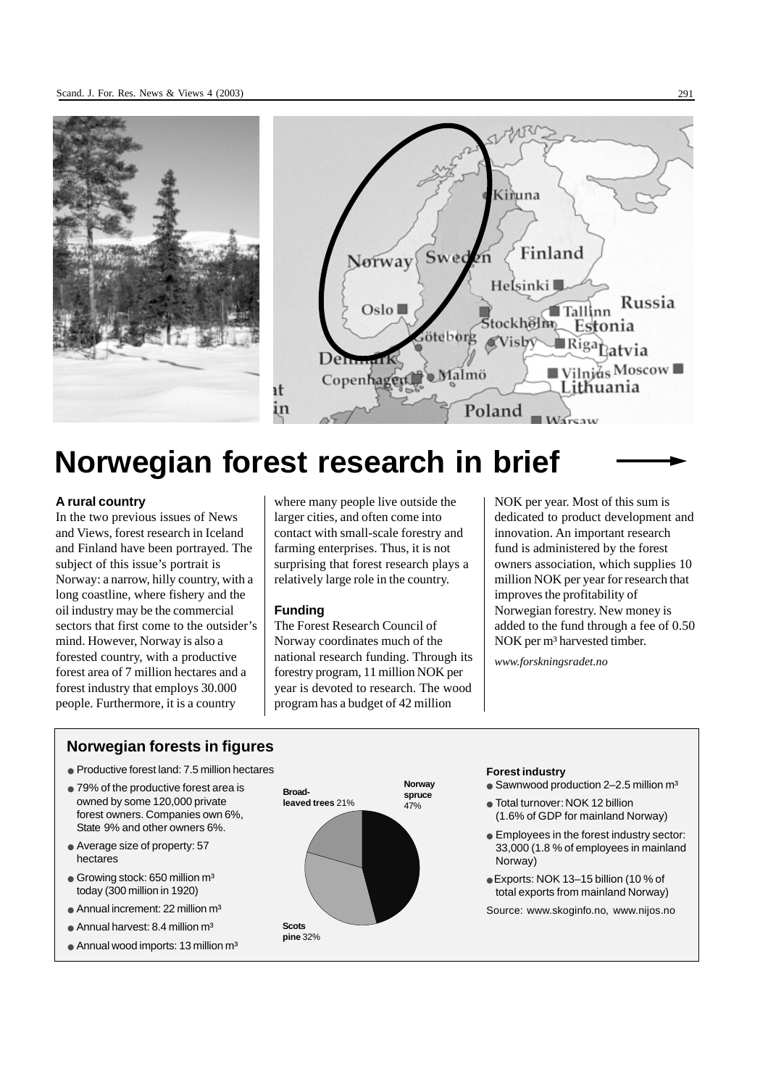

# **Norwegian forest research in brief**

#### **A rural country**

In the two previous issues of News and Views, forest research in Iceland and Finland have been portrayed. The subject of this issue's portrait is Norway: a narrow, hilly country, with a long coastline, where fishery and the oil industry may be the commercial sectors that first come to the outsider's mind. However, Norway is also a forested country, with a productive forest area of 7 million hectares and a forest industry that employs 30.000 people. Furthermore, it is a country

where many people live outside the larger cities, and often come into contact with small-scale forestry and farming enterprises. Thus, it is not surprising that forest research plays a relatively large role in the country.

#### **Funding**

The Forest Research Council of Norway coordinates much of the national research funding. Through its forestry program, 11 million NOK per year is devoted to research. The wood program has a budget of 42 million

NOK per year. Most of this sum is dedicated to product development and innovation. An important research fund is administered by the forest owners association, which supplies 10 million NOK per year for research that improves the profitability of Norwegian forestry. New money is added to the fund through a fee of 0.50 NOK per m<sup>3</sup> harvested timber.

*www.forskningsradet.no*

#### **Norwegian forests in figures**

- Productive forest land: 7.5 million hectares
- 79% of the productive forest area is owned by some 120,000 private forest owners. Companies own 6%, State 9% and other owners 6%.
- Average size of property: 57 hectares
- $\bullet$  Growing stock: 650 million m<sup>3</sup> today (300 million in 1920)
- $\bullet$  Annual increment: 22 million m<sup>3</sup>
- $\bullet$  Annual harvest: 8.4 million m<sup>3</sup>
- $\bullet$  Annual wood imports: 13 million m<sup>3</sup>



#### **Forest industry**

- Sawnwood production  $2-2.5$  million  $m<sup>3</sup>$
- Total turnover: NOK 12 billion (1.6% of GDP for mainland Norway)
- Employees in the forest industry sector: 33,000 (1.8 % of employees in mainland Norway)
- Exports: NOK 13–15 billion (10 % of total exports from mainland Norway)

Source: www.skoginfo.no, www.nijos.no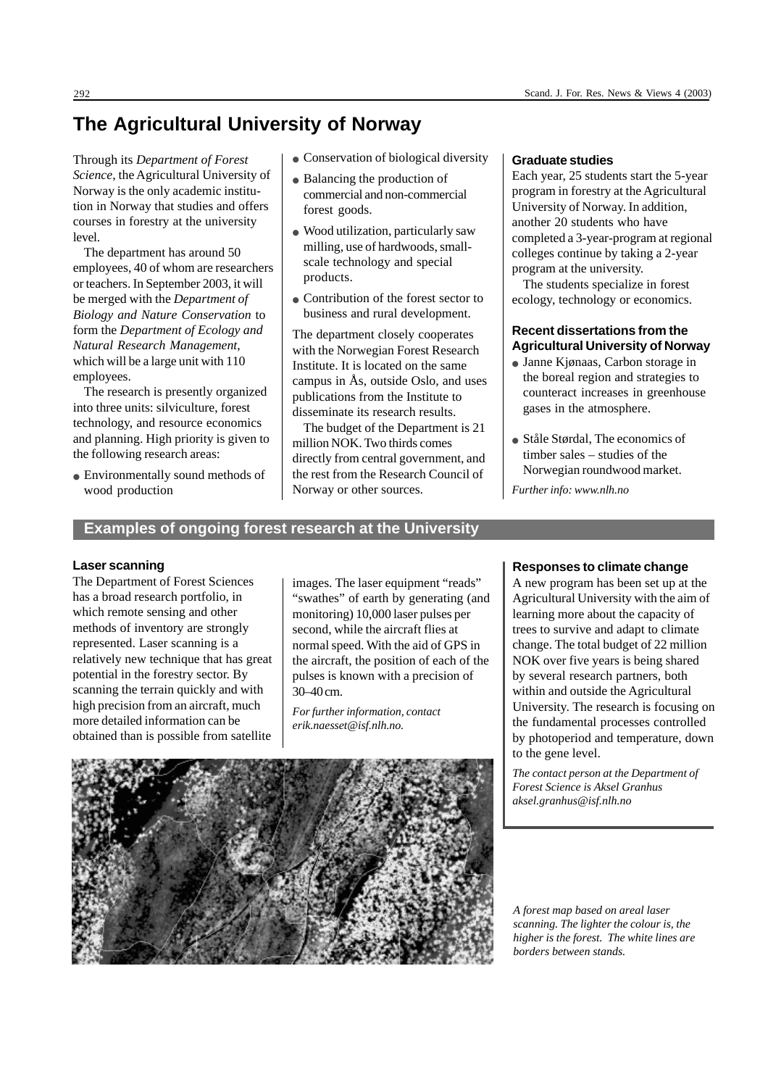## **The Agricultural University of Norway**

Through its *Department of Forest Science*, the Agricultural University of Norway is the only academic institution in Norway that studies and offers courses in forestry at the university  $l$ evel

The department has around 50 employees, 40 of whom are researchers or teachers. In September 2003, it will be merged with the *Department of Biology and Nature Conservation* to form the *Department of Ecology and Natural Research Management*, which will be a large unit with 110 employees.

The research is presently organized into three units: silviculture, forest technology, and resource economics and planning. High priority is given to the following research areas:

• Environmentally sound methods of wood production

- Conservation of biological diversity
- Balancing the production of commercial and non-commercial forest goods.
- Wood utilization, particularly saw milling, use of hardwoods, smallscale technology and special products.
- Contribution of the forest sector to business and rural development.

The department closely cooperates with the Norwegian Forest Research Institute. It is located on the same campus in Ås, outside Oslo, and uses publications from the Institute to disseminate its research results.

The budget of the Department is 21 million NOK. Two thirds comes directly from central government, and the rest from the Research Council of Norway or other sources.

#### **Graduate studies**

Each year, 25 students start the 5-year program in forestry at the Agricultural University of Norway. In addition, another 20 students who have completed a 3-year-program at regional colleges continue by taking a 2-year program at the university.

The students specialize in forest ecology, technology or economics.

#### **Recent dissertations from the Agricultural University of Norway**

- Janne Kjønaas, Carbon storage in the boreal region and strategies to counteract increases in greenhouse gases in the atmosphere.
- Ståle Størdal, The economics of timber sales – studies of the Norwegian roundwood market.

*Further info: www.nlh.no*

# **Examples of ongoing forest research at the University**

#### **Laser scanning**

The Department of Forest Sciences has a broad research portfolio, in which remote sensing and other methods of inventory are strongly represented. Laser scanning is a relatively new technique that has great potential in the forestry sector. By scanning the terrain quickly and with high precision from an aircraft, much more detailed information can be obtained than is possible from satellite images. The laser equipment "reads" "swathes" of earth by generating (and monitoring) 10,000 laser pulses per second, while the aircraft flies at normal speed. With the aid of GPS in the aircraft, the position of each of the pulses is known with a precision of 30–40 cm.

*For further information, contact erik.naesset@isf.nlh.no.*

#### **Responses to climate change**

A new program has been set up at the Agricultural University with the aim of learning more about the capacity of trees to survive and adapt to climate change. The total budget of 22 million NOK over five years is being shared by several research partners, both within and outside the Agricultural University. The research is focusing on the fundamental processes controlled by photoperiod and temperature, down to the gene level.

*The contact person at the Department of Forest Science is Aksel Granhus aksel.granhus@isf.nlh.no*



*A forest map based on areal laser scanning. The lighter the colour is, the higher is the forest. The white lines are borders between stands.*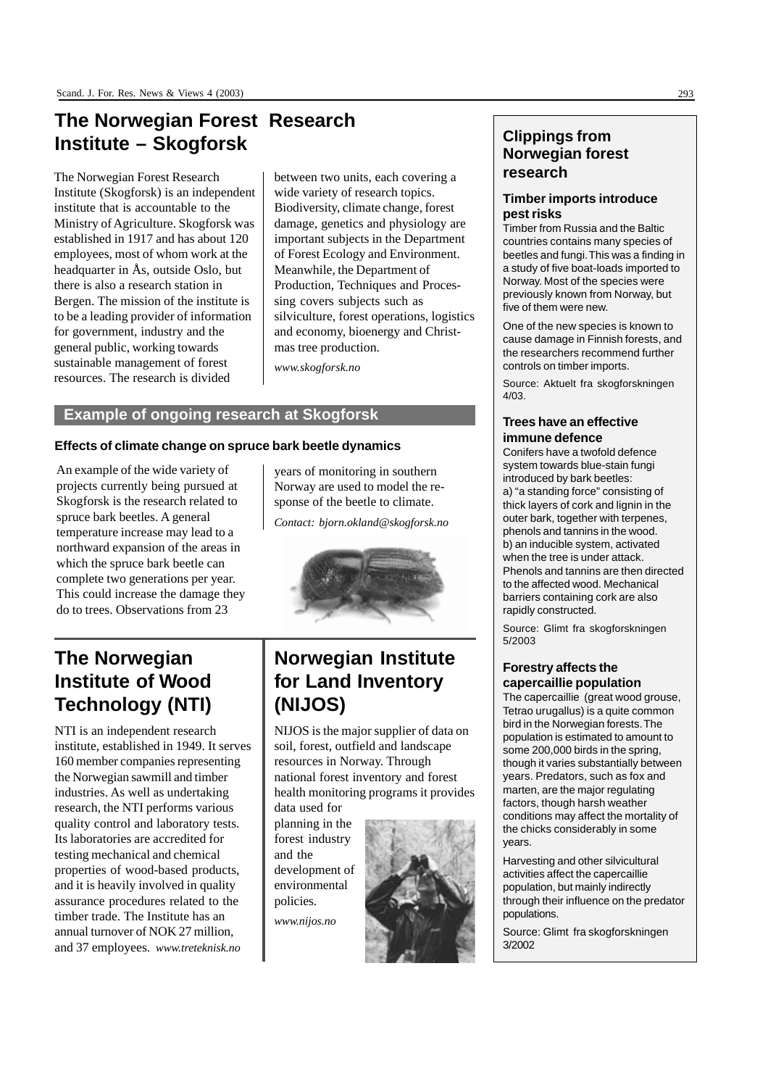# **The Norwegian Forest Research Institute – Skogforsk**

The Norwegian Forest Research Institute (Skogforsk) is an independent institute that is accountable to the Ministry of Agriculture. Skogforsk was established in 1917 and has about 120 employees, most of whom work at the headquarter in Ås, outside Oslo, but there is also a research station in Bergen. The mission of the institute is to be a leading provider of information for government, industry and the general public, working towards sustainable management of forest resources. The research is divided

between two units, each covering a wide variety of research topics. Biodiversity, climate change, forest damage, genetics and physiology are important subjects in the Department of Forest Ecology and Environment. Meanwhile, the Department of Production, Techniques and Processing covers subjects such as silviculture, forest operations, logistics and economy, bioenergy and Christmas tree production.

*www.skogforsk.no*

#### **Example of ongoing research at Skogforsk**

#### **Effects of climate change on spruce bark beetle dynamics**

An example of the wide variety of projects currently being pursued at Skogforsk is the research related to spruce bark beetles. A general temperature increase may lead to a northward expansion of the areas in which the spruce bark beetle can complete two generations per year. This could increase the damage they do to trees. Observations from 23

years of monitoring in southern Norway are used to model the response of the beetle to climate.

*Contact: bjorn.okland@skogforsk.no*



# **The Norwegian Institute of Wood Technology (NTI)**

NTI is an independent research institute, established in 1949. It serves 160 member companies representing the Norwegian sawmill and timber industries. As well as undertaking research, the NTI performs various quality control and laboratory tests. Its laboratories are accredited for testing mechanical and chemical properties of wood-based products, and it is heavily involved in quality assurance procedures related to the timber trade. The Institute has an annual turnover of NOK 27 million, and 37 employees. *www.treteknisk.no*

# **Norwegian Institute for Land Inventory (NIJOS)**

NIJOS is the major supplier of data on soil, forest, outfield and landscape resources in Norway. Through national forest inventory and forest health monitoring programs it provides data used for

planning in the forest industry and the development of environmental policies. *www.nijos.no*



#### **Clippings from Norwegian forest research**

#### **Timber imports introduce pest risks**

Timber from Russia and the Baltic countries contains many species of beetles and fungi. This was a finding in a study of five boat-loads imported to Norway. Most of the species were previously known from Norway, but five of them were new.

One of the new species is known to cause damage in Finnish forests, and the researchers recommend further controls on timber imports.

Source: Aktuelt fra skogforskningen 4/03.

#### **Trees have an effective immune defence**

Conifers have a twofold defence system towards blue-stain fungi introduced by bark beetles: a) "a standing force" consisting of thick layers of cork and lignin in the outer bark, together with terpenes, phenols and tannins in the wood. b) an inducible system, activated when the tree is under attack. Phenols and tannins are then directed to the affected wood. Mechanical barriers containing cork are also rapidly constructed.

Source: Glimt fra skogforskningen 5/2003

#### **Forestry affects the capercaillie population**

The capercaillie (great wood grouse, Tetrao urugallus) is a quite common bird in the Norwegian forests. The population is estimated to amount to some 200,000 birds in the spring, though it varies substantially between years. Predators, such as fox and marten, are the major regulating factors, though harsh weather conditions may affect the mortality of the chicks considerably in some years.

Harvesting and other silvicultural activities affect the capercaillie population, but mainly indirectly through their influence on the predator populations.

Source: Glimt fra skogforskningen 3/2002